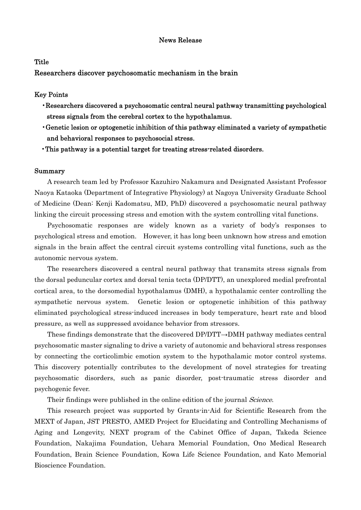## News Release

## **Title**

Researchers discover psychosomatic mechanism in the brain

### Key Points

- •Researchers discovered a psychosomatic central neural pathway transmitting psychological stress signals from the cerebral cortex to the hypothalamus.
- •Genetic lesion or optogenetic inhibition of this pathway eliminated a variety of sympathetic and behavioral responses to psychosocial stress.
- •This pathway is a potential target for treating stress-related disorders.

#### Summary

A research team led by Professor Kazuhiro Nakamura and Designated Assistant Professor Naoya Kataoka (Department of Integrative Physiology) at Nagoya University Graduate School of Medicine (Dean: Kenji Kadomatsu, MD, PhD) discovered a psychosomatic neural pathway linking the circuit processing stress and emotion with the system controlling vital functions.

Psychosomatic responses are widely known as a variety of body's responses to psychological stress and emotion. However, it has long been unknown how stress and emotion signals in the brain affect the central circuit systems controlling vital functions, such as the autonomic nervous system.

The researchers discovered a central neural pathway that transmits stress signals from the dorsal peduncular cortex and dorsal tenia tecta (DP/DTT), an unexplored medial prefrontal cortical area, to the dorsomedial hypothalamus (DMH), a hypothalamic center controlling the sympathetic nervous system. Genetic lesion or optogenetic inhibition of this pathway eliminated psychological stress-induced increases in body temperature, heart rate and blood pressure, as well as suppressed avoidance behavior from stressors.

These findings demonstrate that the discovered DP/DTT→DMH pathway mediates central psychosomatic master signaling to drive a variety of autonomic and behavioral stress responses by connecting the corticolimbic emotion system to the hypothalamic motor control systems. This discovery potentially contributes to the development of novel strategies for treating psychosomatic disorders, such as panic disorder, post-traumatic stress disorder and psychogenic fever.

Their findings were published in the online edition of the journal *Science*.

This research project was supported by Grants-in-Aid for Scientific Research from the MEXT of Japan, JST PRESTO, AMED Project for Elucidating and Controlling Mechanisms of Aging and Longevity, NEXT program of the Cabinet Office of Japan, Takeda Science Foundation, Nakajima Foundation, Uehara Memorial Foundation, Ono Medical Research Foundation, Brain Science Foundation, Kowa Life Science Foundation, and Kato Memorial Bioscience Foundation.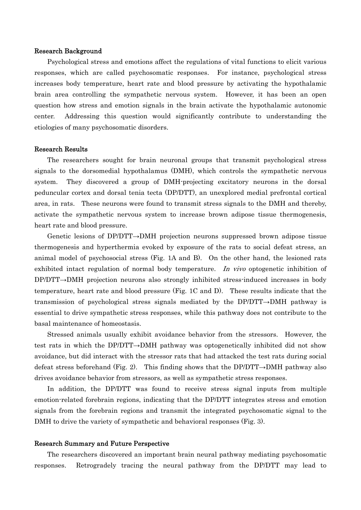### Research Background

Psychological stress and emotions affect the regulations of vital functions to elicit various responses, which are called psychosomatic responses. For instance, psychological stress increases body temperature, heart rate and blood pressure by activating the hypothalamic brain area controlling the sympathetic nervous system. However, it has been an open question how stress and emotion signals in the brain activate the hypothalamic autonomic center. Addressing this question would significantly contribute to understanding the etiologies of many psychosomatic disorders.

#### Research Results

The researchers sought for brain neuronal groups that transmit psychological stress signals to the dorsomedial hypothalamus (DMH), which controls the sympathetic nervous system. They discovered a group of DMH-projecting excitatory neurons in the dorsal peduncular cortex and dorsal tenia tecta (DP/DTT), an unexplored medial prefrontal cortical area, in rats. These neurons were found to transmit stress signals to the DMH and thereby, activate the sympathetic nervous system to increase brown adipose tissue thermogenesis, heart rate and blood pressure.

Genetic lesions of DP/DTT→DMH projection neurons suppressed brown adipose tissue thermogenesis and hyperthermia evoked by exposure of the rats to social defeat stress, an animal model of psychosocial stress (Fig. 1A and B). On the other hand, the lesioned rats exhibited intact regulation of normal body temperature. In vivo optogenetic inhibition of DP/DTT→DMH projection neurons also strongly inhibited stress-induced increases in body temperature, heart rate and blood pressure (Fig. 1C and D). These results indicate that the transmission of psychological stress signals mediated by the DP/DTT→DMH pathway is essential to drive sympathetic stress responses, while this pathway does not contribute to the basal maintenance of homeostasis.

Stressed animals usually exhibit avoidance behavior from the stressors. However, the test rats in which the DP/DTT→DMH pathway was optogenetically inhibited did not show avoidance, but did interact with the stressor rats that had attacked the test rats during social defeat stress beforehand (Fig. 2). This finding shows that the DP/DTT $\rightarrow$ DMH pathway also drives avoidance behavior from stressors, as well as sympathetic stress responses.

In addition, the DP/DTT was found to receive stress signal inputs from multiple emotion-related forebrain regions, indicating that the DP/DTT integrates stress and emotion signals from the forebrain regions and transmit the integrated psychosomatic signal to the DMH to drive the variety of sympathetic and behavioral responses (Fig. 3).

#### Research Summary and Future Perspective

The researchers discovered an important brain neural pathway mediating psychosomatic responses. Retrogradely tracing the neural pathway from the DP/DTT may lead to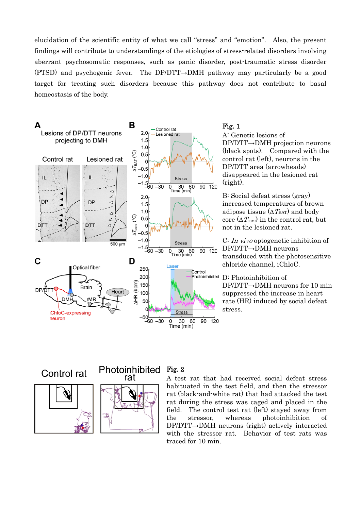elucidation of the scientific entity of what we call "stress" and "emotion". Also, the present findings will contribute to understandings of the etiologies of stress-related disorders involving aberrant psychosomatic responses, such as panic disorder, post-traumatic stress disorder (PTSD) and psychogenic fever. The DP/DTT→DMH pathway may particularly be a good target for treating such disorders because this pathway does not contribute to basal homeostasis of the body.



# Fig. 1

A: Genetic lesions of DP/DTT→DMH projection neurons (black spots). Compared with the control rat (left), neurons in the DP/DTT area (arrowheads) disappeared in the lesioned rat (right).

B: Social defeat stress (gray) increased temperatures of brown adipose tissue  $(\Delta T_{\text{BAT}})$  and body core ( $\Delta T_{\text{core}}$ ) in the control rat, but not in the lesioned rat.

C: In vivo optogenetic inhibition of DP/DTT→DMH neurons transduced with the photosensitive chloride channel, iChloC.

Photoinhibited D: Photoinhibition of DP/DTT→DMH neurons for 10 min suppressed the increase in heart rate (HR) induced by social defeat stress.

Control rat





#### Photoinhibited Fig. 2

A test rat that had received social defeat stress habituated in the test field, and then the stressor rat (black-and-white rat) that had attacked the test rat during the stress was caged and placed in the field. The control test rat (left) stayed away from the stressor, whereas photoinhibition of DP/DTT→DMH neurons (right) actively interacted with the stressor rat. Behavior of test rats was traced for 10 min.